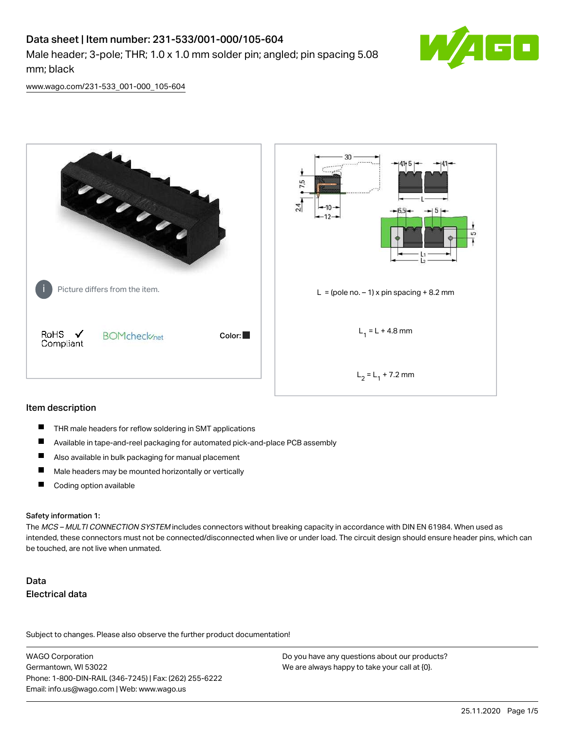# Data sheet | Item number: 231-533/001-000/105-604 Male header; 3-pole; THR; 1.0 x 1.0 mm solder pin; angled; pin spacing 5.08



[www.wago.com/231-533\\_001-000\\_105-604](http://www.wago.com/231-533_001-000_105-604)

mm; black



#### Item description

- $\blacksquare$ THR male headers for reflow soldering in SMT applications
- $\blacksquare$ Available in tape-and-reel packaging for automated pick-and-place PCB assembly
- $\blacksquare$ Also available in bulk packaging for manual placement
- $\blacksquare$ Male headers may be mounted horizontally or vertically
- $\blacksquare$ Coding option available

#### Safety information 1:

The MCS - MULTI CONNECTION SYSTEM includes connectors without breaking capacity in accordance with DIN EN 61984. When used as intended, these connectors must not be connected/disconnected when live or under load. The circuit design should ensure header pins, which can be touched, are not live when unmated.

# Data Electrical data

Subject to changes. Please also observe the further product documentation!

WAGO Corporation Germantown, WI 53022 Phone: 1-800-DIN-RAIL (346-7245) | Fax: (262) 255-6222 Email: info.us@wago.com | Web: www.wago.us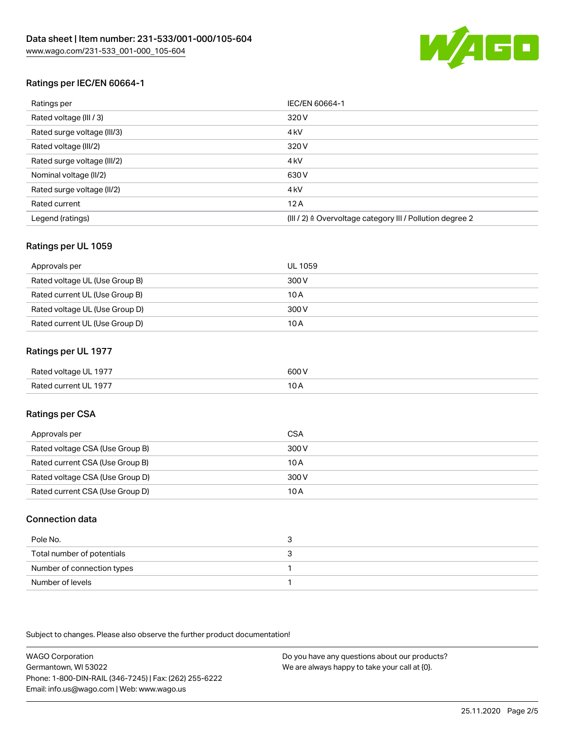

# Ratings per IEC/EN 60664-1

| Ratings per                 | IEC/EN 60664-1                                                       |
|-----------------------------|----------------------------------------------------------------------|
| Rated voltage (III / 3)     | 320 V                                                                |
| Rated surge voltage (III/3) | 4 <sub>k</sub> V                                                     |
| Rated voltage (III/2)       | 320 V                                                                |
| Rated surge voltage (III/2) | 4 <sub>k</sub> V                                                     |
| Nominal voltage (II/2)      | 630 V                                                                |
| Rated surge voltage (II/2)  | 4 <sub>k</sub> V                                                     |
| Rated current               | 12A                                                                  |
| Legend (ratings)            | (III / 2) $\triangleq$ Overvoltage category III / Pollution degree 2 |

### Ratings per UL 1059

| Approvals per                  | UL 1059 |
|--------------------------------|---------|
| Rated voltage UL (Use Group B) | 300 V   |
| Rated current UL (Use Group B) | 10 A    |
| Rated voltage UL (Use Group D) | 300 V   |
| Rated current UL (Use Group D) | 10 A    |

### Ratings per UL 1977

| Rated voltage UL 1977 | 600 V |
|-----------------------|-------|
| Rated current UL 1977 | I U A |

## Ratings per CSA

| Approvals per                   | CSA   |
|---------------------------------|-------|
| Rated voltage CSA (Use Group B) | 300 V |
| Rated current CSA (Use Group B) | 10 A  |
| Rated voltage CSA (Use Group D) | 300 V |
| Rated current CSA (Use Group D) | 10 A  |

### Connection data

| Pole No.                   |  |
|----------------------------|--|
| Total number of potentials |  |
| Number of connection types |  |
| Number of levels           |  |

Subject to changes. Please also observe the further product documentation!

WAGO Corporation Germantown, WI 53022 Phone: 1-800-DIN-RAIL (346-7245) | Fax: (262) 255-6222 Email: info.us@wago.com | Web: www.wago.us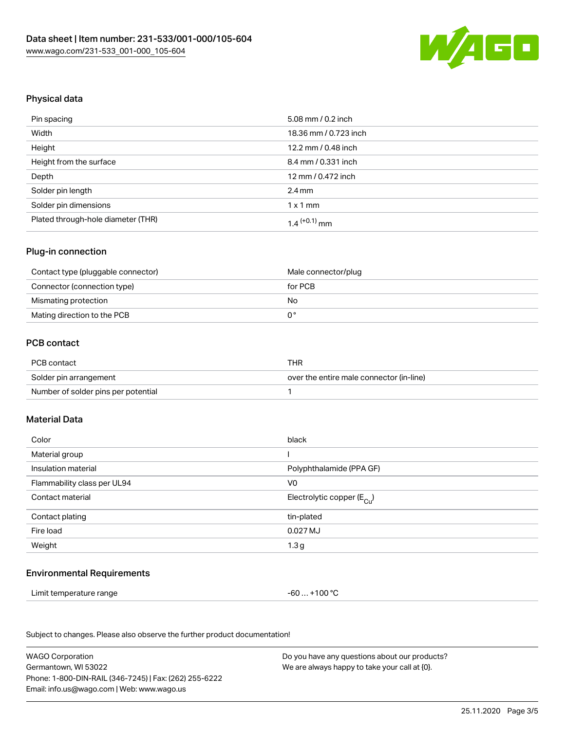

### Physical data

| Pin spacing                        | 5.08 mm / 0.2 inch    |
|------------------------------------|-----------------------|
| Width                              | 18.36 mm / 0.723 inch |
| Height                             | 12.2 mm / 0.48 inch   |
| Height from the surface            | 8.4 mm / 0.331 inch   |
| Depth                              | 12 mm / 0.472 inch    |
| Solder pin length                  | $2.4 \text{ mm}$      |
| Solder pin dimensions              | $1 \times 1$ mm       |
| Plated through-hole diameter (THR) | $1.4$ $(+0.1)$ mm     |

### Plug-in connection

| Contact type (pluggable connector) | Male connector/plug |
|------------------------------------|---------------------|
| Connector (connection type)        | for PCB             |
| Mismating protection               | No.                 |
| Mating direction to the PCB        |                     |

### PCB contact

| PCB contact                         | THR                                      |
|-------------------------------------|------------------------------------------|
| Solder pin arrangement              | over the entire male connector (in-line) |
| Number of solder pins per potential |                                          |

#### Material Data

| black                                  |
|----------------------------------------|
|                                        |
| Polyphthalamide (PPA GF)               |
| V <sub>0</sub>                         |
| Electrolytic copper (E <sub>Cu</sub> ) |
| tin-plated                             |
| 0.027 MJ                               |
| 1.3 <sub>g</sub>                       |
|                                        |

#### Environmental Requirements

| Limit temperature range | -60  +100 °C |  |
|-------------------------|--------------|--|
|-------------------------|--------------|--|

Subject to changes. Please also observe the further product documentation!

WAGO Corporation Germantown, WI 53022 Phone: 1-800-DIN-RAIL (346-7245) | Fax: (262) 255-6222 Email: info.us@wago.com | Web: www.wago.us Do you have any questions about our products? We are always happy to take your call at {0}.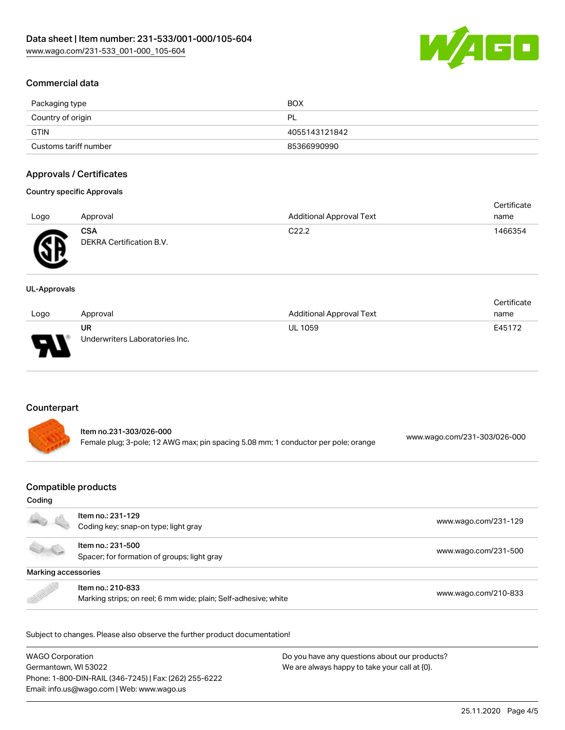

# Commercial data

| Packaging type        | <b>BOX</b>    |
|-----------------------|---------------|
| Country of origin     | PL            |
| GTIN                  | 4055143121842 |
| Customs tariff number | 85366990990   |

### Approvals / Certificates

### Country specific Approvals

|                  |                          |                                 | Certificate |
|------------------|--------------------------|---------------------------------|-------------|
| Approval<br>Logo |                          | <b>Additional Approval Text</b> | name        |
|                  | CSA                      | C <sub>22.2</sub>               | 1466354     |
| Æ                | DEKRA Certification B.V. |                                 |             |

#### UL-Approvals

w

|      |                                |                          | Certificate |
|------|--------------------------------|--------------------------|-------------|
| Logo | Approval                       | Additional Approval Text | name        |
|      | UR                             | <b>UL 1059</b>           | E45172      |
| D    | Underwriters Laboratories Inc. |                          |             |

# Counterpart

| Item no.231-303/026-000                                                            |                              |
|------------------------------------------------------------------------------------|------------------------------|
| Female plug; 3-pole; 12 AWG max; pin spacing 5.08 mm; 1 conductor per pole; orange | www.wago.com/231-303/026-000 |

### Compatible products

#### Coding

|                     | Item no.: 231-129<br>Coding key; snap-on type; light gray                            | www.wago.com/231-129 |  |
|---------------------|--------------------------------------------------------------------------------------|----------------------|--|
|                     | Item no.: 231-500<br>Spacer; for formation of groups; light gray                     | www.wago.com/231-500 |  |
| Marking accessories |                                                                                      |                      |  |
|                     | Item no.: 210-833<br>Marking strips; on reel; 6 mm wide; plain; Self-adhesive; white | www.wago.com/210-833 |  |

Subject to changes. Please also observe the further product documentation!

WAGO Corporation Germantown, WI 53022 Phone: 1-800-DIN-RAIL (346-7245) | Fax: (262) 255-6222 Email: info.us@wago.com | Web: www.wago.us